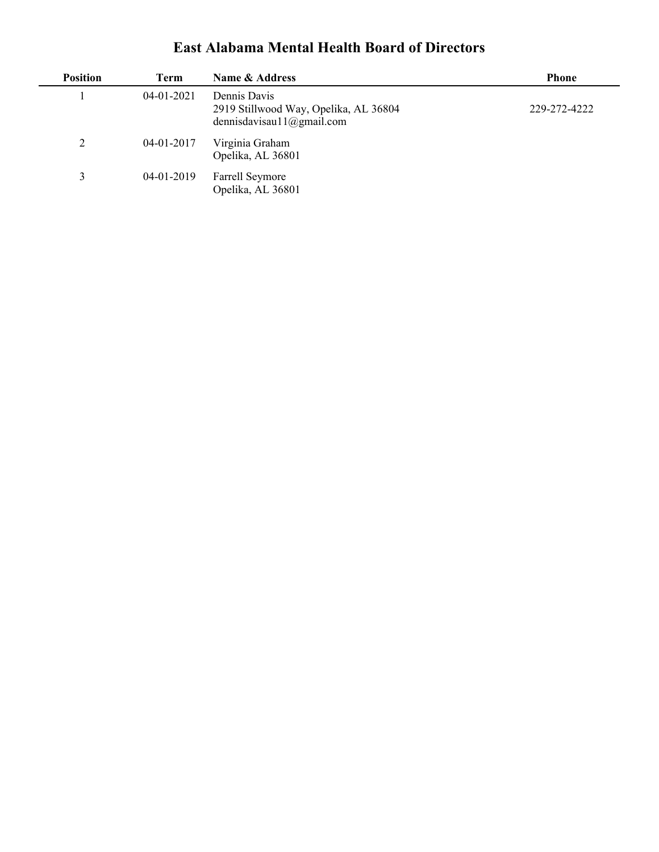## **East Alabama Mental Health Board of Directors**

| <b>Position</b> | Term         | Name & Address                                                                     | <b>Phone</b> |
|-----------------|--------------|------------------------------------------------------------------------------------|--------------|
|                 | 04-01-2021   | Dennis Davis<br>2919 Stillwood Way, Opelika, AL 36804<br>dennisdavisau11@gmail.com | 229-272-4222 |
| 2               | 04-01-2017   | Virginia Graham<br>Opelika, AL 36801                                               |              |
| 3               | $04-01-2019$ | <b>Farrell Seymore</b><br>Opelika, AL 36801                                        |              |